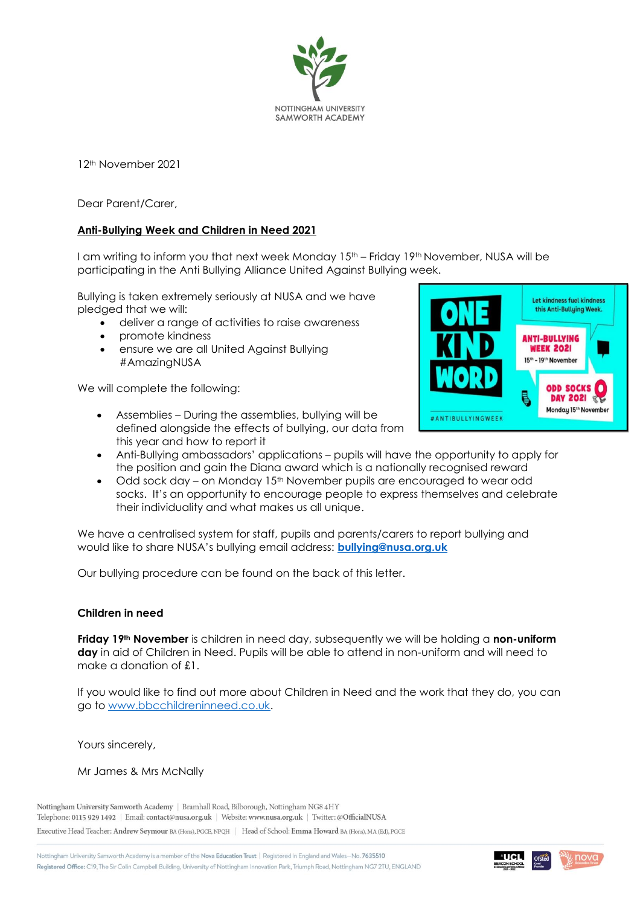

12th November 2021

Dear Parent/Carer,

### **Anti-Bullying Week and Children in Need 2021**

I am writing to inform you that next week Monday  $15<sup>th</sup>$  – Friday  $19<sup>th</sup>$  November, NUSA will be participating in the Anti Bullying Alliance United Against Bullying week.

Bullying is taken extremely seriously at NUSA and we have pledged that we will:

- deliver a range of activities to raise awareness
- promote kindness
- ensure we are all United Against Bullying #AmazingNUSA

We will complete the following:



- Assemblies During the assemblies, bullying will be defined alongside the effects of bullying, our data from this year and how to report it
- Anti-Bullying ambassadors' applications pupils will have the opportunity to apply for the position and gain the Diana award which is a nationally recognised reward
- Odd sock day on Monday 15<sup>th</sup> November pupils are encouraged to wear odd socks. It's an opportunity to encourage people to express themselves and celebrate their individuality and what makes us all unique.

We have a centralised system for staff, pupils and parents/carers to report bullying and would like to share NUSA's bullying email address: **[bullying@nusa.org.uk](mailto:bullying@nusa.org.uk)**

Our bullying procedure can be found on the back of this letter.

#### **Children in need**

**Friday 19th November** is children in need day, subsequently we will be holding a **non-uniform day** in aid of Children in Need. Pupils will be able to attend in non-uniform and will need to make a donation of £1.

If you would like to find out more about Children in Need and the work that they do, you can go to [www.bbcchildreninneed.co.uk.](http://www.bbcchildreninneed.co.uk/)

Yours sincerely,

Mr James & Mrs McNally

Nottingham University Samworth Academy | Bramhall Road, Bilborough, Nottingham NG8 4HY Telephone: 0115 929 1492 | Email: contact@nusa.org.uk | Website: www.nusa.org.uk | Twitter: @OfficialNUSA Executive Head Teacher: Andrew Seymour BA (Hons), PGCE, NPQH | Head of School: Emma Howard BA (Hons), MA (Ed), PGCE

Nottingham University Samworth Academy is a member of the Nova Education Trust | Registered in England and Wales-No. 7635510 Registered Office: C19, The Sir Colin Campbell Building, University of Nottingham Innovation Park, Triumph Road, Nottingham NG7 2TU, ENGLAND